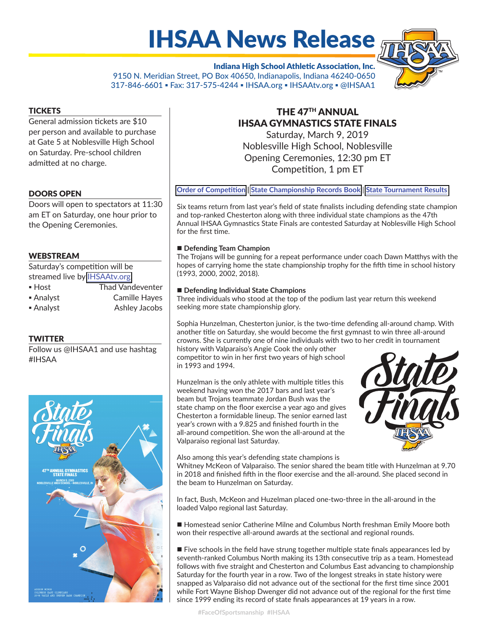# IHSAA News Release

Indiana High School Athletic Association, Inc. 9150 N. Meridian Street, PO Box 40650, Indianapolis, Indiana 46240-0650 317-846-6601 ▪ Fax: 317-575-4244 ▪ IHSAA.org ▪ IHSAAtv.org ▪ @IHSAA1



General admission tickets are \$10 per person and available to purchase at Gate 5 at Noblesville High School on Saturday. Pre-school children admitted at no charge.

# DOORS OPEN

Doors will open to spectators at 11:30 am ET on Saturday, one hour prior to the Opening Ceremonies.

# WEBSTREAM

Saturday's competition will be streamed live by [IHSAAtv.org.](https://www.ihsaatv.org/)

- Host Thad Vandeventer
- Analyst Camille Hayes
- Analyst Ashley Jacobs

# **TWITTER**

Follow us @IHSAA1 and use hashtag #IHSAA



# THE 47TH ANNUAL IHSAA GYMNASTICS STATE FINALS

Saturday, March 9, 2019 Noblesville High School, Noblesville Opening Ceremonies, 12:30 pm ET Competition, 1 pm ET

**[Order of Compe](http://www.ihsaa.org/Portals/0/girls%20sports/gymnastics/2018-19/201819StateOrder.pdf)tition | [State Championship Records Book](http://www.ihsaa.org/Portals/0/girls%20sports/gymnastics/Gymnastics%20Records%20Book.pdf) | [State Tournament Results](http://www.ihsaa.org/dnn/Sports/Girls/Gymnastics/2018-19/StateTournament/tabid/2203/Default.aspx)** 

Six teams return from last year's field of state finalists including defending state champion and top-ranked Chesterton along with three individual state champions as the 47th Annual IHSAA Gymnastics State Finals are contested Saturday at Noblesville High School for the first time.

#### ■ Defending Team Champion

The Trojans will be gunning for a repeat performance under coach Dawn Matthys with the hopes of carrying home the state championship trophy for the fifth time in school history (1993, 2000, 2002, 2018).

#### **Defending Individual State Champions**

Three individuals who stood at the top of the podium last year return this weekend seeking more state championship glory.

Sophia Hunzelman, Chesterton junior, is the two-time defending all-around champ. With another title on Saturday, she would become the first gymnast to win three all-around crowns. She is currently one of nine individuals with two to her credit in tournament

history with Valparaiso's Angie Cook the only other competitor to win in her first two years of high school in 1993 and 1994.

Hunzelman is the only athlete with multiple titles this weekend having won the 2017 bars and last year's beam but Trojans teammate Jordan Bush was the state champ on the floor exercise a year ago and gives Chesterton a formidable lineup. The senior earned last year's crown with a 9.825 and finished fourth in the all-around competition. She won the all-around at the Valparaiso regional last Saturday.



Also among this year's defending state champions is

Whitney McKeon of Valparaiso. The senior shared the beam title with Hunzelman at 9.70 in 2018 and finished fifth in the floor exercise and the all-around. She placed second in the beam to Hunzelman on Saturday.

In fact, Bush, McKeon and Huzelman placed one-two-three in the all-around in the loaded Valpo regional last Saturday.

Homestead senior Catherine Milne and Columbus North freshman Emily Moore both won their respective all-around awards at the sectional and regional rounds.

 $\blacksquare$  Five schools in the field have strung together multiple state finals appearances led by seventh-ranked Columbus North making its 13th consecutive trip as a team. Homestead follows with five straight and Chesterton and Columbus East advancing to championship Saturday for the fourth year in a row. Two of the longest streaks in state history were snapped as Valparaiso did not advance out of the sectional for the first time since 2001 while Fort Wayne Bishop Dwenger did not advance out of the regional for the first time since 1999 ending its record of state finals appearances at 19 years in a row.